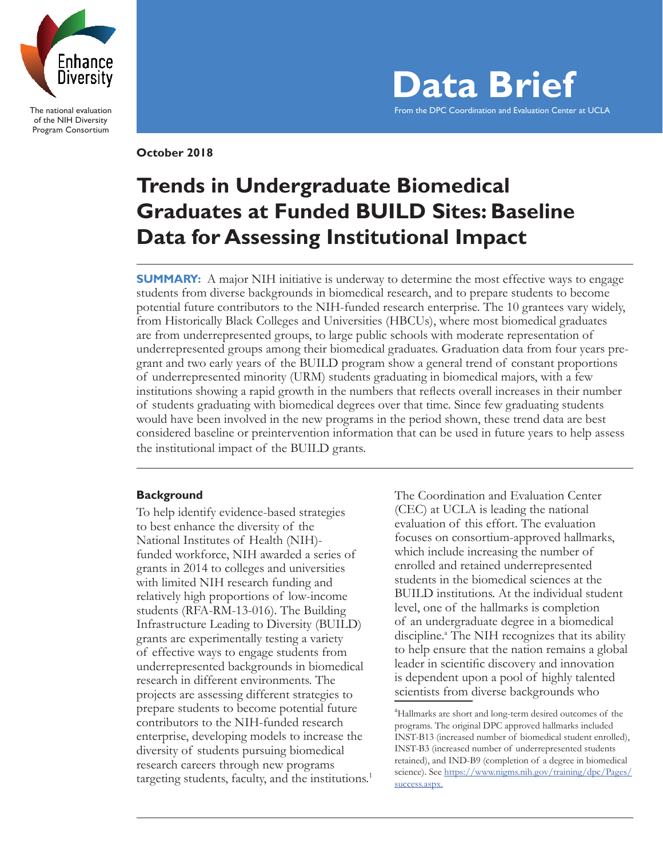

The national evaluation of the NIH Diversity Program Consortium

**October 2018**



# **Trends in Undergraduate Biomedical Graduates at Funded BUILD Sites: Baseline Data for Assessing Institutional Impact**

**SUMMARY:** A major NIH initiative is underway to determine the most effective ways to engage students from diverse backgrounds in biomedical research, and to prepare students to become potential future contributors to the NIH-funded research enterprise. The 10 grantees vary widely, from Historically Black Colleges and Universities (HBCUs), where most biomedical graduates are from underrepresented groups, to large public schools with moderate representation of underrepresented groups among their biomedical graduates. Graduation data from four years pregrant and two early years of the BUILD program show a general trend of constant proportions of underrepresented minority (URM) students graduating in biomedical majors, with a few institutions showing a rapid growth in the numbers that reflects overall increases in their number of students graduating with biomedical degrees over that time. Since few graduating students would have been involved in the new programs in the period shown, these trend data are best considered baseline or preintervention information that can be used in future years to help assess the institutional impact of the BUILD grants.

## **Background**

To help identify evidence-based strategies to best enhance the diversity of the National Institutes of Health (NIH) funded workforce, NIH awarded a series of grants in 2014 to colleges and universities with limited NIH research funding and relatively high proportions of low-income students (RFA-RM-13-016). The Building Infrastructure Leading to Diversity (BUILD) grants are experimentally testing a variety of effective ways to engage students from underrepresented backgrounds in biomedical research in different environments. The projects are assessing different strategies to prepare students to become potential future contributors to the NIH-funded research enterprise, developing models to increase the diversity of students pursuing biomedical research careers through new programs targeting students, faculty, and the institutions.<sup>1</sup> The Coordination and Evaluation Center (CEC) at UCLA is leading the national evaluation of this effort. The evaluation focuses on consortium-approved hallmarks, which include increasing the number of enrolled and retained underrepresented students in the biomedical sciences at the BUILD institutions. At the individual student level, one of the hallmarks is completion of an undergraduate degree in a biomedical discipline.<sup>a</sup> The NIH recognizes that its ability to help ensure that the nation remains a global leader in scientific discovery and innovation is dependent upon a pool of highly talented scientists from diverse backgrounds who

<sup>&</sup>lt;sup>a</sup>Hallmarks are short and long-term desired outcomes of the programs. The original DPC approved hallmarks included INST-B13 (increased number of biomedical student enrolled), INST-B3 (increased number of underrepresented students retained), and IND-B9 (completion of a degree in biomedical science). See https://www.nigms.nih.gov/training/dpc/Pages/ success.aspx.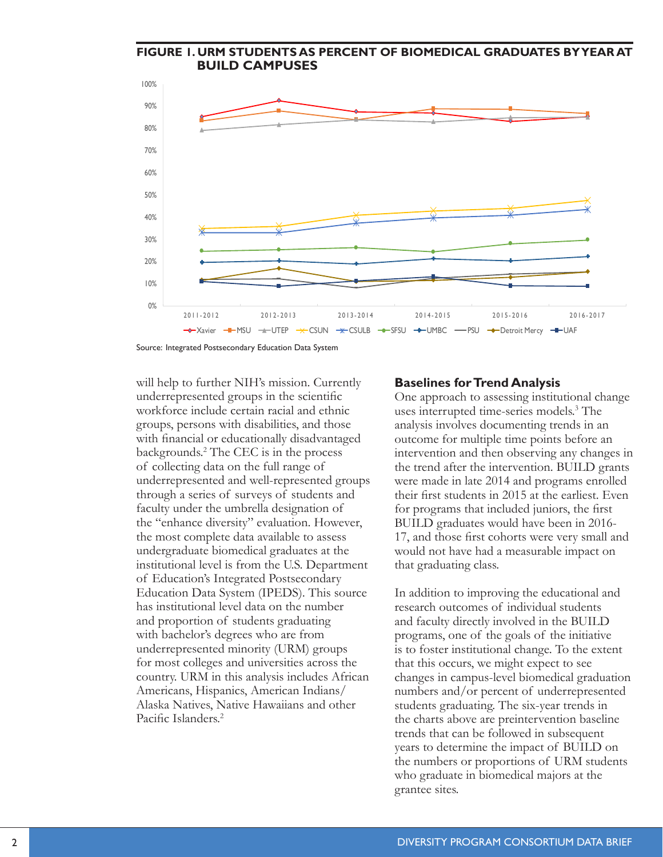

Source: Integrated Postsecondary Education Data System

will help to further NIH's mission. Currently underrepresented groups in the scientific workforce include certain racial and ethnic groups, persons with disabilities, and those with financial or educationally disadvantaged backgrounds.2 The CEC is in the process of collecting data on the full range of underrepresented and well-represented groups through a series of surveys of students and faculty under the umbrella designation of the "enhance diversity" evaluation. However, the most complete data available to assess undergraduate biomedical graduates at the institutional level is from the U.S. Department of Education's Integrated Postsecondary Education Data System (IPEDS). This source has institutional level data on the number and proportion of students graduating with bachelor's degrees who are from underrepresented minority (URM) groups for most colleges and universities across the country. URM in this analysis includes African Americans, Hispanics, American Indians/ Alaska Natives, Native Hawaiians and other Pacific Islanders<sup>2</sup>

#### **Baselines for Trend Analysis**

One approach to assessing institutional change uses interrupted time-series models.3 The analysis involves documenting trends in an outcome for multiple time points before an intervention and then observing any changes in the trend after the intervention. BUILD grants were made in late 2014 and programs enrolled their first students in 2015 at the earliest. Even for programs that included juniors, the first BUILD graduates would have been in 2016- 17, and those first cohorts were very small and would not have had a measurable impact on that graduating class.

In addition to improving the educational and research outcomes of individual students and faculty directly involved in the BUILD programs, one of the goals of the initiative is to foster institutional change. To the extent that this occurs, we might expect to see changes in campus-level biomedical graduation numbers and/or percent of underrepresented students graduating. The six-year trends in the charts above are preintervention baseline trends that can be followed in subsequent years to determine the impact of BUILD on the numbers or proportions of URM students who graduate in biomedical majors at the grantee sites.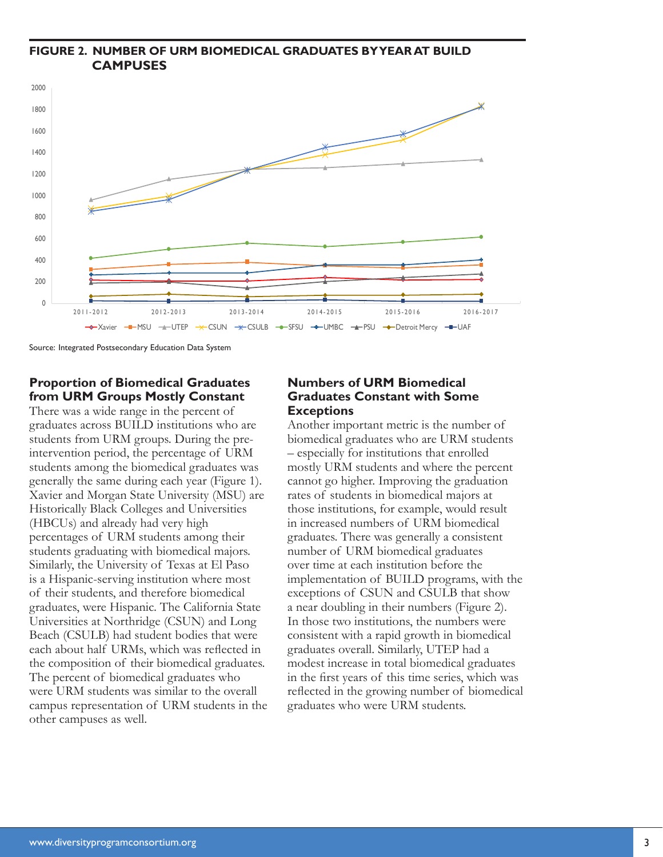## **FIGURE 2. NUMBER OF URM BIOMEDICAL GRADUATES BY YEAR AT BUILD CAMPUSES**



Source: Integrated Postsecondary Education Data System

## **Proportion of Biomedical Graduates from URM Groups Mostly Constant**

There was a wide range in the percent of graduates across BUILD institutions who are students from URM groups. During the preintervention period, the percentage of URM students among the biomedical graduates was generally the same during each year (Figure 1). Xavier and Morgan State University (MSU) are Historically Black Colleges and Universities (HBCUs) and already had very high percentages of URM students among their students graduating with biomedical majors. Similarly, the University of Texas at El Paso is a Hispanic-serving institution where most of their students, and therefore biomedical graduates, were Hispanic. The California State Universities at Northridge (CSUN) and Long Beach (CSULB) had student bodies that were each about half URMs, which was reflected in the composition of their biomedical graduates. The percent of biomedical graduates who were URM students was similar to the overall campus representation of URM students in the other campuses as well.

## **Numbers of URM Biomedical Graduates Constant with Some Exceptions**

Another important metric is the number of biomedical graduates who are URM students – especially for institutions that enrolled mostly URM students and where the percent cannot go higher. Improving the graduation rates of students in biomedical majors at those institutions, for example, would result in increased numbers of URM biomedical graduates. There was generally a consistent number of URM biomedical graduates over time at each institution before the implementation of BUILD programs, with the exceptions of CSUN and CSULB that show a near doubling in their numbers (Figure 2). In those two institutions, the numbers were consistent with a rapid growth in biomedical graduates overall. Similarly, UTEP had a modest increase in total biomedical graduates in the first years of this time series, which was reflected in the growing number of biomedical graduates who were URM students.